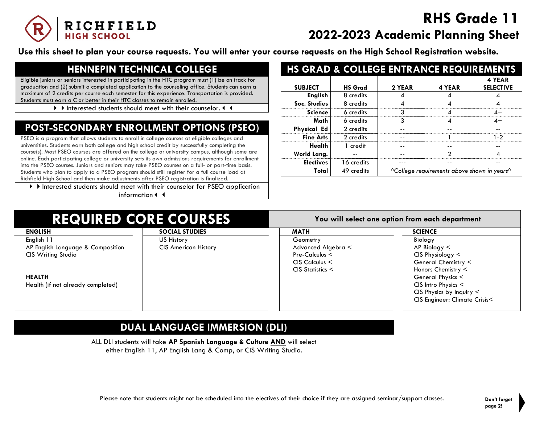

# **RHS Grade 11 2022-2023 Academic Planning Sheet**

**Use this sheet to plan your course requests. You will enter your course requests on the High School Registration website.**

## **HENNEPIN TECHNICAL COLLEGE**

Eligible juniors or seniors interested in participating in the HTC program must (1) be on track for graduation and (2) submit a completed application to the counseling office. Students can earn a maximum of 2 credits per course each semester for this experience. Transportation is provided. Students must earn a C or better in their HTC classes to remain enrolled.

If Interested students should meet with their counselor. 4 4

## **POST-SECONDARY ENROLLMENT OPTIONS (PSEO)**

PSEO is a program that allows students to enroll in college courses at eligible colleges and universities. Students earn both college and high school credit by successfully completing the course(s). Most PSEO courses are offered on the college or university campus, although some are online. Each participating college or university sets its own admissions requirements for enrollment into the PSEO courses. Juniors and seniors may take PSEO courses on a full- or part-time basis. Students who plan to apply to a PSEO program should still register for a full course load at Richfield High School and then make adjustments after PSEO registration is finalized.

Interested students should meet with their counselor for PSEO application information

|                    |                | <b>HS GRAD &amp; COLLEGE ENTRANCE REQUIREMENTS</b> |                                                                     |                            |
|--------------------|----------------|----------------------------------------------------|---------------------------------------------------------------------|----------------------------|
| <b>SUBJECT</b>     | <b>HS Grad</b> | 2 YEAR                                             | 4 YEAR                                                              | 4 YEAR<br><b>SELECTIVE</b> |
| <b>English</b>     | 8 credits      |                                                    |                                                                     |                            |
| Soc. Studies       | 8 credits      |                                                    |                                                                     |                            |
| <b>Science</b>     | 6 credits      |                                                    |                                                                     | 4+                         |
| Math               | 6 credits      | ર                                                  |                                                                     | $4+$                       |
| <b>Physical Ed</b> | 2 credits      |                                                    |                                                                     |                            |
| <b>Fine Arts</b>   | 2 credits      |                                                    |                                                                     | 1-2                        |
| Health             | 1 credit       |                                                    |                                                                     |                            |
| World Lang.        |                |                                                    | ာ                                                                   |                            |
| <b>Electives</b>   | 16 credits     |                                                    |                                                                     |                            |
| Total              | 49 credits     |                                                    | <sup>A</sup> College requirements above shown in years <sup>A</sup> |                            |

#### **REQUIRED CORE COURSES You will select one option from each department**

| <b>ENGLISH</b>                    | <b>SOCIAL STUDIES</b>       | <b>MATH</b>             | <b>SCIENCE</b>                |
|-----------------------------------|-----------------------------|-------------------------|-------------------------------|
| English 11                        | US History                  | Geometry                | Biology                       |
| AP English Language & Composition | <b>CIS American History</b> | Advanced Algebra <      | $AP$ Biology $<$              |
| <b>CIS Writing Studio</b>         |                             | Pre-Calculus $\leq$     | $CIS$ Physiology $<$          |
|                                   |                             | $CIS$ Calculus $\leq$   | General Chemistry <           |
|                                   |                             | $CIS$ Statistics $\leq$ | Honors Chemistry $\leq$       |
| <b>HEALTH</b>                     |                             |                         | General Physics <             |
| Health (if not already completed) |                             |                         | $CIS$ Intro Physics $<$       |
|                                   |                             |                         | CIS Physics by Inquiry $\leq$ |
|                                   |                             |                         | CIS Engineer: Climate Crisis< |
|                                   |                             |                         |                               |

## **DUAL LANGUAGE IMMERSION (DLI)**

ALL DLI students will take **AP Spanish Language & Culture AND** will select either English 11, AP English Lang & Comp, or CIS Writing Studio.